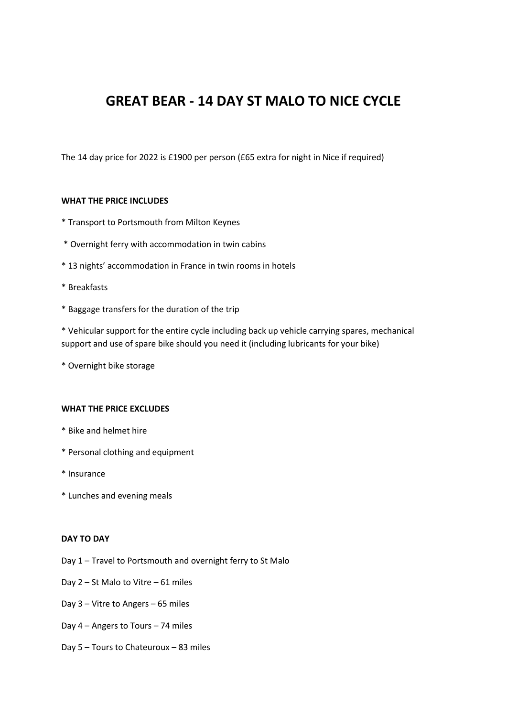# **GREAT BEAR - 14 DAY ST MALO TO NICE CYCLE**

The 14 day price for 2022 is £1900 per person (£65 extra for night in Nice if required)

## **WHAT THE PRICE INCLUDES**

- \* Transport to Portsmouth from Milton Keynes
- \* Overnight ferry with accommodation in twin cabins
- \* 13 nights' accommodation in France in twin rooms in hotels
- \* Breakfasts
- \* Baggage transfers for the duration of the trip

\* Vehicular support for the entire cycle including back up vehicle carrying spares, mechanical support and use of spare bike should you need it (including lubricants for your bike)

\* Overnight bike storage

#### **WHAT THE PRICE EXCLUDES**

- \* Bike and helmet hire
- \* Personal clothing and equipment
- \* Insurance
- \* Lunches and evening meals

#### **DAY TO DAY**

- Day 1 Travel to Portsmouth and overnight ferry to St Malo
- Day 2 St Malo to Vitre 61 miles
- Day 3 Vitre to Angers 65 miles
- Day 4 Angers to Tours 74 miles
- Day 5 Tours to Chateuroux 83 miles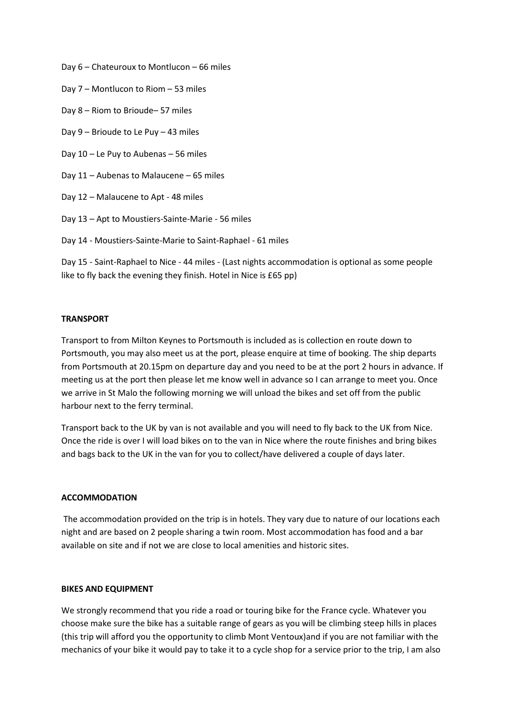- Day 6 Chateuroux to Montlucon 66 miles
- Day 7 Montlucon to Riom 53 miles
- Day 8 Riom to Brioude– 57 miles
- Day 9 Brioude to Le Puy 43 miles
- Day 10 Le Puy to Aubenas 56 miles
- Day 11 Aubenas to Malaucene 65 miles
- Day 12 Malaucene to Apt 48 miles
- Day 13 Apt to Moustiers-Sainte-Marie 56 miles

Day 14 - Moustiers-Sainte-Marie to Saint-Raphael - 61 miles

Day 15 - Saint-Raphael to Nice - 44 miles - (Last nights accommodation is optional as some people like to fly back the evening they finish. Hotel in Nice is £65 pp)

## **TRANSPORT**

Transport to from Milton Keynes to Portsmouth is included as is collection en route down to Portsmouth, you may also meet us at the port, please enquire at time of booking. The ship departs from Portsmouth at 20.15pm on departure day and you need to be at the port 2 hours in advance. If meeting us at the port then please let me know well in advance so I can arrange to meet you. Once we arrive in St Malo the following morning we will unload the bikes and set off from the public harbour next to the ferry terminal.

Transport back to the UK by van is not available and you will need to fly back to the UK from Nice. Once the ride is over I will load bikes on to the van in Nice where the route finishes and bring bikes and bags back to the UK in the van for you to collect/have delivered a couple of days later.

# **ACCOMMODATION**

The accommodation provided on the trip is in hotels. They vary due to nature of our locations each night and are based on 2 people sharing a twin room. Most accommodation has food and a bar available on site and if not we are close to local amenities and historic sites.

#### **BIKES AND EQUIPMENT**

We strongly recommend that you ride a road or touring bike for the France cycle. Whatever you choose make sure the bike has a suitable range of gears as you will be climbing steep hills in places (this trip will afford you the opportunity to climb Mont Ventoux)and if you are not familiar with the mechanics of your bike it would pay to take it to a cycle shop for a service prior to the trip, I am also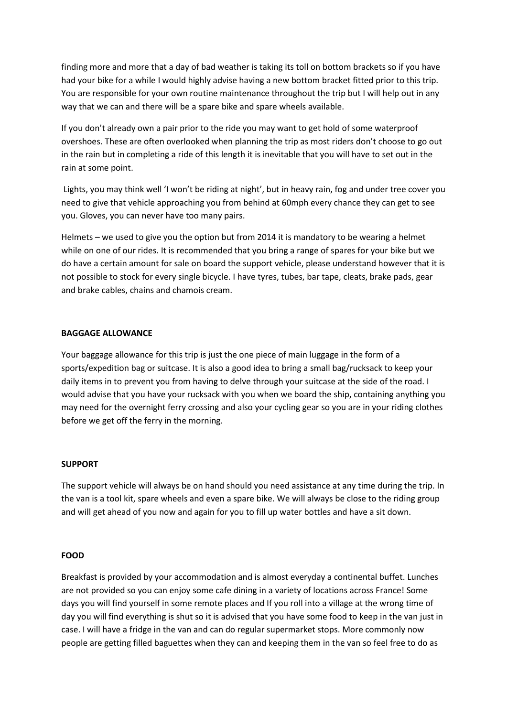finding more and more that a day of bad weather is taking its toll on bottom brackets so if you have had your bike for a while I would highly advise having a new bottom bracket fitted prior to this trip. You are responsible for your own routine maintenance throughout the trip but I will help out in any way that we can and there will be a spare bike and spare wheels available.

If you don't already own a pair prior to the ride you may want to get hold of some waterproof overshoes. These are often overlooked when planning the trip as most riders don't choose to go out in the rain but in completing a ride of this length it is inevitable that you will have to set out in the rain at some point.

Lights, you may think well 'I won't be riding at night', but in heavy rain, fog and under tree cover you need to give that vehicle approaching you from behind at 60mph every chance they can get to see you. Gloves, you can never have too many pairs.

Helmets – we used to give you the option but from 2014 it is mandatory to be wearing a helmet while on one of our rides. It is recommended that you bring a range of spares for your bike but we do have a certain amount for sale on board the support vehicle, please understand however that it is not possible to stock for every single bicycle. I have tyres, tubes, bar tape, cleats, brake pads, gear and brake cables, chains and chamois cream.

# **BAGGAGE ALLOWANCE**

Your baggage allowance for this trip is just the one piece of main luggage in the form of a sports/expedition bag or suitcase. It is also a good idea to bring a small bag/rucksack to keep your daily items in to prevent you from having to delve through your suitcase at the side of the road. I would advise that you have your rucksack with you when we board the ship, containing anything you may need for the overnight ferry crossing and also your cycling gear so you are in your riding clothes before we get off the ferry in the morning.

# **SUPPORT**

The support vehicle will always be on hand should you need assistance at any time during the trip. In the van is a tool kit, spare wheels and even a spare bike. We will always be close to the riding group and will get ahead of you now and again for you to fill up water bottles and have a sit down.

# **FOOD**

Breakfast is provided by your accommodation and is almost everyday a continental buffet. Lunches are not provided so you can enjoy some cafe dining in a variety of locations across France! Some days you will find yourself in some remote places and If you roll into a village at the wrong time of day you will find everything is shut so it is advised that you have some food to keep in the van just in case. I will have a fridge in the van and can do regular supermarket stops. More commonly now people are getting filled baguettes when they can and keeping them in the van so feel free to do as